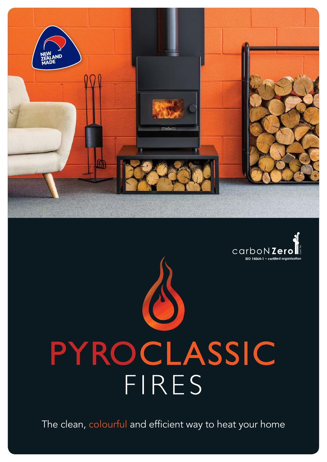



# PYROCLASSIC FIRES

The clean, colourful and efficient way to heat your home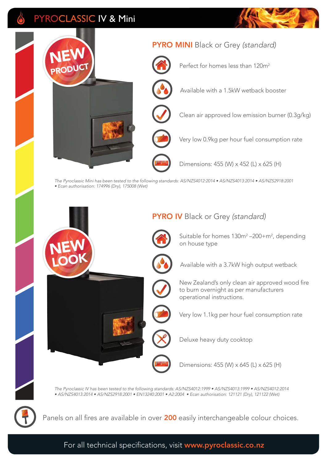## PYROCLASSIC IV & Mini

**NEW** 

**PRODUCT** 





Perfect for homes less than 120m<sup>2</sup>

Available with a 1.5kW wetback booster



Very low 0.9kg per hour fuel consumption rate

Dimensions: 455 (W) x 452 (L) x 625 (H)

The Pyroclassic Mini has been tested to the following standards: AS/NZS4012:2014 • AS/NZS4013:2014 • AS/NZS2918:2001 • Ecan authorisation: 174996 (Dry), 175008 (Wet)



The Pyroclassic IV has been tested to the following standards: AS/NZS4012:1999 • AS/NZS4013:1999 • AS/NZS4012:2014 • AS/NZS4013:2014 • AS/NZS2918:2001 • EN13240:2001 • A2:2004 • Ecan authorisation: 121121 (Dry), 121122 (Wet)



Panels on all fires are available in over 200 easily interchangeable colour choices.

#### For all technical specifications, visit www.pyroclassic.co.nz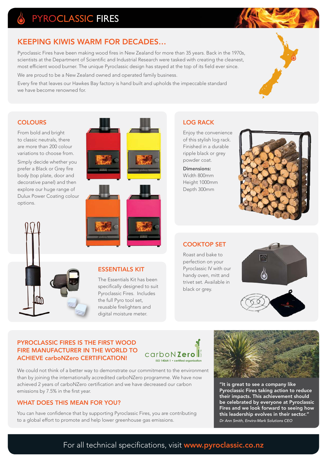### KEEPING KIWIS WARM FOR DECADES…

Pyroclassic Fires have been making wood fires in New Zealand for more than 35 years. Back in the 1970s, scientists at the Department of Scientific and Industrial Research were tasked with creating the cleanest, most efficient wood burner. The unique Pyroclassic design has stayed at the top of its field ever since.

We are proud to be a New Zealand owned and operated family business.

Every fire that leaves our Hawkes Bay factory is hand built and upholds the impeccable standard we have become renowned for.

#### **COLOURS**

From bold and bright to classic neutrals, there are more than 200 colour variations to choose from.

Simply decide whether you prefer a Black or Grey fire body (top plate, door and decorative panel) and then explore our huge range of Dulux Power Coating colour options.





#### ESSENTIALS KIT

The Essentials Kit has been specifically designed to suit Pyroclassic Fires. Includes the full Pyro tool set, reusable firelighters and digital moisture meter.

#### LOG RACK

Enjoy the convenience of this stylish log rack. Finished in a durable ripple black or grey powder coat.

Dimensions: Width 800mm Height 1000mm Depth 300mm



#### COOKTOP SET

Roast and bake to perfection on your Pyroclassic IV with our handy oven, mitt and trivet set. Available in black or grey.





#### PYROCLASSIC FIRES IS THE FIRST WOOD FIRE MANUFACTURER IN THE WORLD TO ACHIEVE carboNZero CERTIFICATION!



We could not think of a better way to demonstrate our commitment to the environment than by joining the internationally accredited carboNZero programme. We have now achieved 2 years of carboNZero certification and we have decreased our carbon emissions by 7.5% in the first year.

#### WHAT DOES THIS MEAN FOR YOU?

You can have confidence that by supporting Pyroclassic Fires, you are contributing to a global effort to promote and help lower greenhouse gas emissions.



"It is great to see a company like Pyroclassic Fires taking action to reduce their impacts. This achievement should be celebrated by everyone at Pyroclassic Fires and we look forward to seeing how this leadership evolves in their sector." Dr Ann Smith, Enviro-Mark Solutions CEO